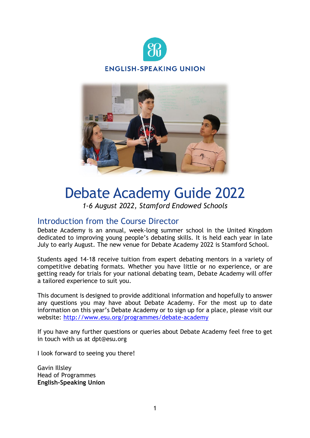



# Debate Academy Guide 2022

*1-6 August 2022, Stamford Endowed Schools*

### Introduction from the Course Director

Debate Academy is an annual, week-long summer school in the United Kingdom dedicated to improving young people's debating skills. It is held each year in late July to early August. The new venue for Debate Academy 2022 is Stamford School.

Students aged 14-18 receive tuition from expert debating mentors in a variety of competitive debating formats. Whether you have little or no experience, or are getting ready for trials for your national debating team, Debate Academy will offer a tailored experience to suit you.

This document is designed to provide additional information and hopefully to answer any questions you may have about Debate Academy. For the most up to date information on this year's Debate Academy or to sign up for a place, please visit our website: <http://www.esu.org/programmes/debate-academy>

If you have any further questions or queries about Debate Academy feel free to get in touch with us at dpt@esu.org

I look forward to seeing you there!

Gavin Illsley Head of Programmes **English-Speaking Union**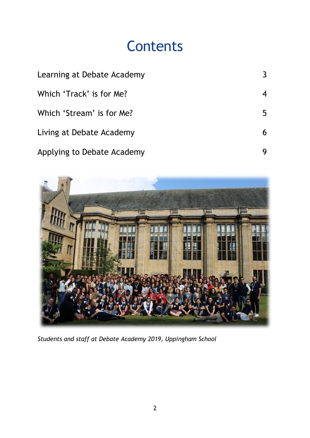## **Contents**

| Learning at Debate Academy |   |
|----------------------------|---|
| Which 'Track' is for Me?   |   |
| Which 'Stream' is for Me?  | 5 |
| Living at Debate Academy   |   |
| Applying to Debate Academy |   |



*Students and staff at Debate Academy 2019, Uppingham School*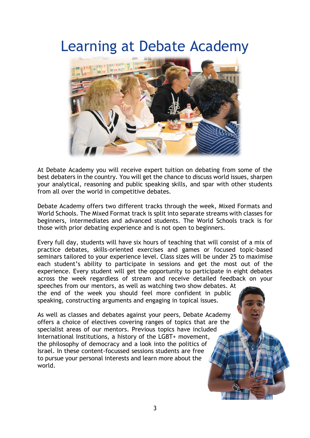### Learning at Debate Academy



At Debate Academy you will receive expert tuition on debating from some of the best debaters in the country. You will get the chance to discuss world issues, sharpen your analytical, reasoning and public speaking skills, and spar with other students from all over the world in competitive debates.

Debate Academy offers two different tracks through the week, Mixed Formats and World Schools. The Mixed Format track is split into separate streams with classes for beginners, intermediates and advanced students. The World Schools track is for those with prior debating experience and is not open to beginners.

Every full day, students will have six hours of teaching that will consist of a mix of practice debates, skills-oriented exercises and games or focused topic-based seminars tailored to your experience level. Class sizes will be under 25 to maximise each student's ability to participate in sessions and get the most out of the experience. Every student will get the opportunity to participate in eight debates across the week regardless of stream and receive detailed feedback on your

speeches from our mentors, as well as watching two show debates. At the end of the week you should feel more confident in public speaking, constructing arguments and engaging in topical issues.

As well as classes and debates against your peers, Debate Academy offers a choice of electives covering ranges of topics that are the specialist areas of our mentors. Previous topics have included International Institutions, a history of the LGBT+ movement, the philosophy of democracy and a look into the politics of Israel. In these content-focussed sessions students are free to pursue your personal interests and learn more about the world.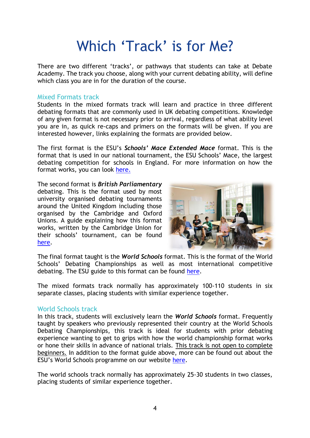## Which 'Track' is for Me?

There are two different 'tracks', or pathways that students can take at Debate Academy. The track you choose, along with your current debating ability, will define which class you are in for the duration of the course.

#### Mixed Formats track

Students in the mixed formats track will learn and practice in three different debating formats that are commonly used in UK debating competitions. Knowledge of any given format is not necessary prior to arrival, regardless of what ability level you are in, as quick re-caps and primers on the formats will be given. If you are interested however, links explaining the formats are provided below.

The first format is the ESU's *Schools' Mace Extended Mace* format. This is the format that is used in our national tournament, the ESU Schools' Mace, the largest debating competition for schools in England. For more information on how the format works, you can look [here.](https://www.esu.org/wp-content/uploads/2019/06/Extended-Mace-Format-Schools-Mace-2019.pdf)

The second format is *British Parliamentary* debating. This is the format used by most university organised debating tournaments around the United Kingdom including those organised by the Cambridge and Oxford Unions. A guide explaining how this format works, written by the Cambridge Union for their schools' tournament, can be found [here.](https://cambridgeuniondebating.files.wordpress.com/2017/07/bp-format-and-basic-argumentation.pdf)



The final format taught is the *World Schools* format. This is the format of the World Schools' Debating Championships as well as most international competitive debating. The ESU guide to this format can be found [here.](http://www.esu.org/wp-content/uploads/2019/01/Introduction-to-World-Schools-format-guide.pdf)

The mixed formats track normally has approximately 100-110 students in six separate classes, placing students with similar experience together.

### World Schools track

In this track, students will exclusively learn the *World Schools* format. Frequently taught by speakers who previously represented their country at the World Schools Debating Championships, this track is ideal for students with prior debating experience wanting to get to grips with how the world championship format works or hone their skills in advance of national trials. This track is not open to complete beginners. In addition to the format guide above, more can be found out about the ESU's World Schools programme on our website [here.](http://www.esu.org/our-work/world-schools-debating)

The world schools track normally has approximately 25-30 students in two classes, placing students of similar experience together.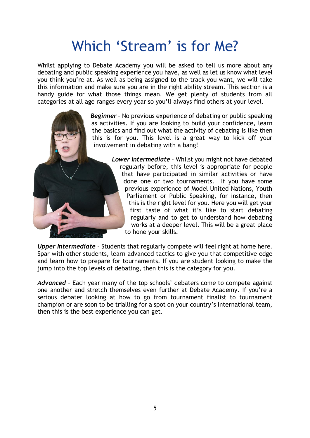## Which 'Stream' is for Me?

Whilst applying to Debate Academy you will be asked to tell us more about any debating and public speaking experience you have, as well as let us know what level you think you're at. As well as being assigned to the track you want, we will take this information and make sure you are in the right ability stream. This section is a handy guide for what those things mean. We get plenty of students from all categories at all age ranges every year so you'll always find others at your level.



*Lower Intermediate* – Whilst you might not have debated regularly before, this level is appropriate for people that have participated in similar activities or have done one or two tournaments. If you have some previous experience of Model United Nations, Youth Parliament or Public Speaking, for instance, then this is the right level for you. Here you will get your first taste of what it's like to start debating regularly and to get to understand how debating works at a deeper level. This will be a great place to hone your skills.

*Upper Intermediate* – Students that regularly compete will feel right at home here. Spar with other students, learn advanced tactics to give you that competitive edge and learn how to prepare for tournaments. If you are student looking to make the jump into the top levels of debating, then this is the category for you.

*Advanced* – Each year many of the top schools' debaters come to compete against one another and stretch themselves even further at Debate Academy. If you're a serious debater looking at how to go from tournament finalist to tournament champion or are soon to be trialling for a spot on your country's international team, then this is the best experience you can get.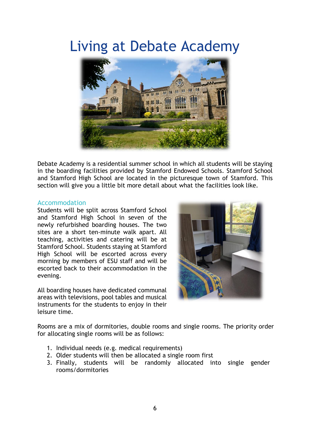### Living at Debate Academy



Debate Academy is a residential summer school in which all students will be staying in the boarding facilities provided by Stamford Endowed Schools. Stamford School and Stamford High School are located in the picturesque town of Stamford. This section will give you a little bit more detail about what the facilities look like.

#### Accommodation

Students will be split across Stamford School and Stamford High School in seven of the newly refurbished boarding houses. The two sites are a short ten-minute walk apart. All teaching, activities and catering will be at Stamford School. Students staying at Stamford High School will be escorted across every morning by members of ESU staff and will be escorted back to their accommodation in the evening.

All boarding houses have dedicated communal areas with televisions, pool tables and musical instruments for the students to enjoy in their leisure time.



Rooms are a mix of dormitories, double rooms and single rooms. The priority order for allocating single rooms will be as follows:

- 1. Individual needs (e.g. medical requirements)
- 2. Older students will then be allocated a single room first
- 3. Finally, students will be randomly allocated into single gender rooms/dormitories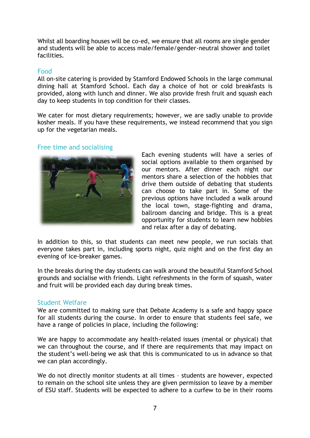Whilst all boarding houses will be co-ed, we ensure that all rooms are single gender and students will be able to access male/female/gender-neutral shower and toilet facilities.

#### Food

All on-site catering is provided by Stamford Endowed Schools in the large communal dining hall at Stamford School. Each day a choice of hot or cold breakfasts is provided, along with lunch and dinner. We also provide fresh fruit and squash each day to keep students in top condition for their classes.

We cater for most dietary requirements; however, we are sadly unable to provide kosher meals. If you have these requirements, we instead recommend that you sign up for the vegetarian meals.

#### Free time and socialising



Each evening students will have a series of social options available to them organised by our mentors. After dinner each night our mentors share a selection of the hobbies that drive them outside of debating that students can choose to take part in. Some of the previous options have included a walk around the local town, stage-fighting and drama, ballroom dancing and bridge. This is a great opportunity for students to learn new hobbies and relax after a day of debating.

In addition to this, so that students can meet new people, we run socials that everyone takes part in, including sports night, quiz night and on the first day an evening of ice-breaker games.

In the breaks during the day students can walk around the beautiful Stamford School grounds and socialise with friends. Light refreshments in the form of squash, water and fruit will be provided each day during break times.

#### Student Welfare

We are committed to making sure that Debate Academy is a safe and happy space for all students during the course. In order to ensure that students feel safe, we have a range of policies in place, including the following:

We are happy to accommodate any health-related issues (mental or physical) that we can throughout the course, and if there are requirements that may impact on the student's well-being we ask that this is communicated to us in advance so that we can plan accordingly.

We do not directly monitor students at all times – students are however, expected to remain on the school site unless they are given permission to leave by a member of ESU staff. Students will be expected to adhere to a curfew to be in their rooms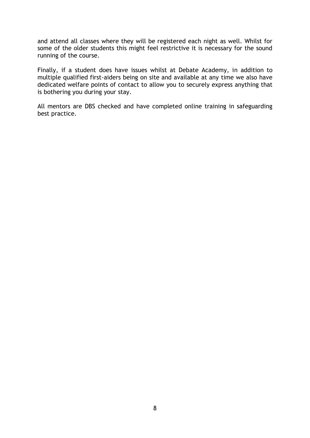and attend all classes where they will be registered each night as well. Whilst for some of the older students this might feel restrictive it is necessary for the sound running of the course.

Finally, if a student does have issues whilst at Debate Academy, in addition to multiple qualified first-aiders being on site and available at any time we also have dedicated welfare points of contact to allow you to securely express anything that is bothering you during your stay.

All mentors are DBS checked and have completed online training in safeguarding best practice.